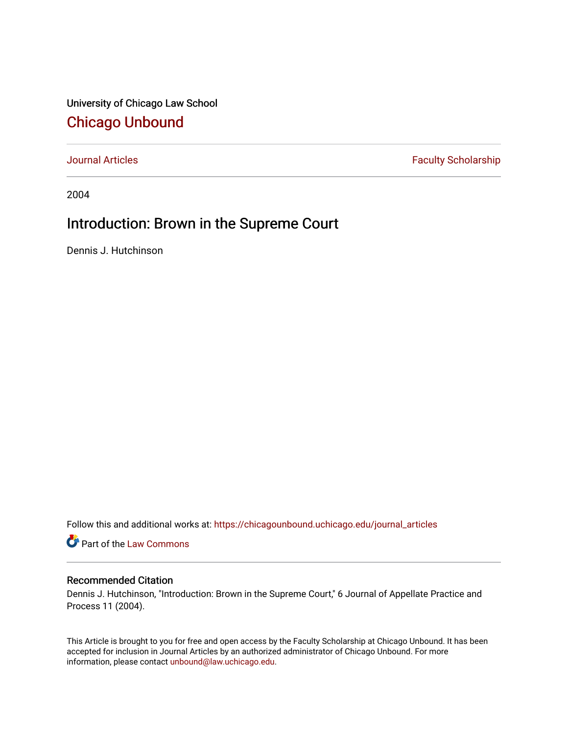University of Chicago Law School [Chicago Unbound](https://chicagounbound.uchicago.edu/)

[Journal Articles](https://chicagounbound.uchicago.edu/journal_articles) **Faculty Scholarship Faculty Scholarship** 

2004

## Introduction: Brown in the Supreme Court

Dennis J. Hutchinson

Follow this and additional works at: [https://chicagounbound.uchicago.edu/journal\\_articles](https://chicagounbound.uchicago.edu/journal_articles?utm_source=chicagounbound.uchicago.edu%2Fjournal_articles%2F3592&utm_medium=PDF&utm_campaign=PDFCoverPages) 

Part of the [Law Commons](http://network.bepress.com/hgg/discipline/578?utm_source=chicagounbound.uchicago.edu%2Fjournal_articles%2F3592&utm_medium=PDF&utm_campaign=PDFCoverPages)

## Recommended Citation

Dennis J. Hutchinson, "Introduction: Brown in the Supreme Court," 6 Journal of Appellate Practice and Process 11 (2004).

This Article is brought to you for free and open access by the Faculty Scholarship at Chicago Unbound. It has been accepted for inclusion in Journal Articles by an authorized administrator of Chicago Unbound. For more information, please contact [unbound@law.uchicago.edu](mailto:unbound@law.uchicago.edu).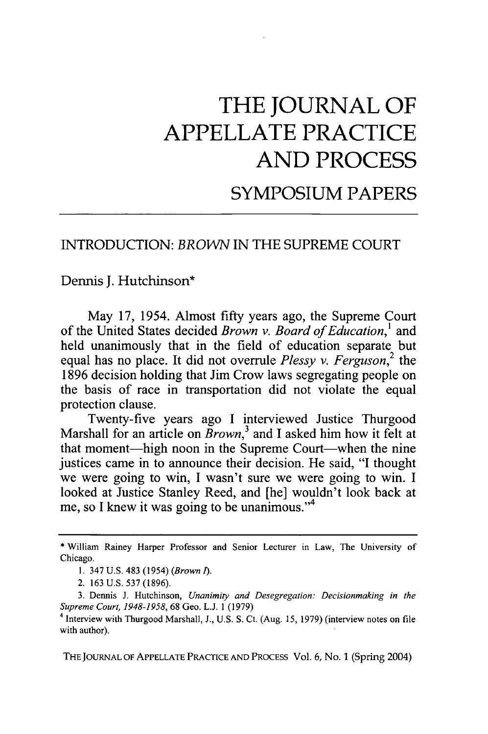## **THE JOURNAL OF APPELLATE PRACTICE AND PROCESS**

SYMPOSIUM PAPERS

## INTRODUCTION: *BROWN* IN THE SUPREME COURT

Dennis J. Hutchinson\*

May 17, 1954. Almost fifty years ago, the Supreme Court of the United States decided *Brown v. Board of Education,'* and held unanimously that in the field of education separate but equal has no place. It did not overrule *Plessy v. Ferguson,2* the 1896 decision holding that Jim Crow laws segregating people on the basis of race in transportation did not violate the equal protection clause.

Twenty-five years ago I interviewed Justice Thurgood Marshall for an article on *Brown*,<sup>3</sup> and I asked him how it felt at that moment-high noon in the Supreme Court-when the nine justices came in to announce their decision. He said, "I thought we were going to win, I wasn't sure we were going to win. I looked at Justice Stanley Reed, and [he] wouldn't look back at me, so I knew it was going to be unanimous."<sup>4</sup>

THE JOURNAL OF APPELLATE PRACTICE AND PROCESS Vol. 6, No. 1 (Spring 2004)

<sup>\*</sup> William Rainey Harper Professor and Senior Lecturer in Law, The University of Chicago.

<sup>1. 347</sup> U.S. 483 (1954) *(Brown 1).*

<sup>2. 163</sup> U.S. 537 (1896).

<sup>3.</sup> Dennis J. Hutchinson, *Unanimity and Desegregation: Decisionmaking in the Supreme Court, 1948-1958,* 68 Geo. L.J. 1 (1979)

<sup>&</sup>lt;sup>4</sup> Interview with Thurgood Marshall, J., U.S. S. Ct. (Aug. 15, 1979) (interview notes on file with author).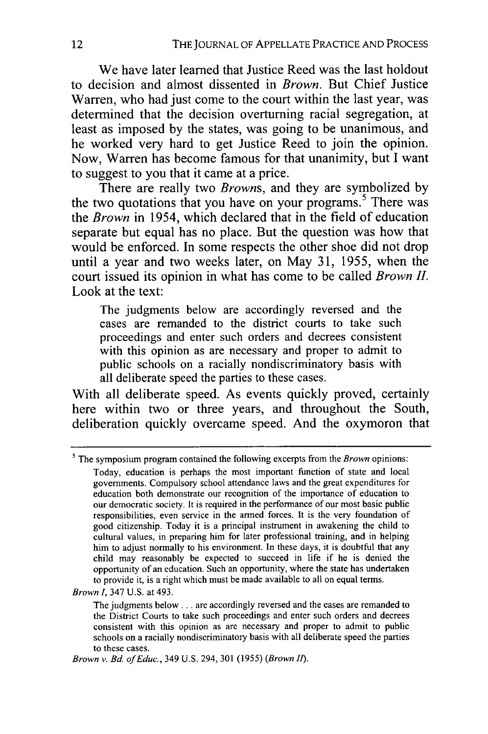We have later learned that Justice Reed was the last holdout to decision and almost dissented in *Brown.* But Chief Justice Warren, who had just come to the court within the last year, was determined that the decision overturning racial segregation, at least as imposed **by** the states, was going to be unanimous, and he worked very hard to get Justice Reed to join the opinion. Now, Warren has become famous for that unanimity, but **I** want to suggest to you that it came at a price.

There are really two *Browns,* and they are symbolized **by** the two quotations that you have on your programs.<sup>5</sup> There was the *Brown* in 1954, which declared that in the field of education separate but equal has no place. But the question was how that would be enforced. In some respects the other shoe did not drop until a year and two weeks later, on May **31, 1955,** when the court issued its opinion in what has come to be called *Brown II.* Look at the text:

The judgments below are accordingly reversed and the cases are remanded to the district courts to take such proceedings and enter such orders and decrees consistent with this opinion as are necessary and proper to admit to public schools on a racially nondiscriminatory basis with all deliberate speed the parties to these cases.

With all deliberate speed. As events quickly proved, certainly here within two or three years, and throughout the South, deliberation quickly overcame speed. And the oxymoron that

The symposium program contained the following excerpts from the *Brown* opinions: Today, education is perhaps the most important function of state and local governments. Compulsory school attendance laws and the great expenditures for education both demonstrate our recognition of the importance of education to our democratic society. It is required in the performance of our most basic public responsibilities, even service in the armed forces. It is the very foundation of good citizenship. Today it is a principal instrument in awakening the child to cultural values, in preparing him for later professional training, and in helping him to adjust normally to his environment. In these days, it is doubtful that any child may reasonably be expected to succeed in life if he is denied the opportunity of an education. Such an opportunity, where the state has undertaken to provide it, is a right which must be made available to all on equal terms.

*Brown I,* 347 U.S. at 493.

The judgments below **...** are accordingly reversed and the cases are remanded to the District Courts to take such proceedings and enter such orders and decrees consistent with this opinion as are necessary and proper to admit to public schools on a racially nondiscriminatory basis with all deliberate speed the parties to these cases.

*Brown v. Bd. of Educ.,* 349 U.S. 294, 301 (1955) *(Brown fl).*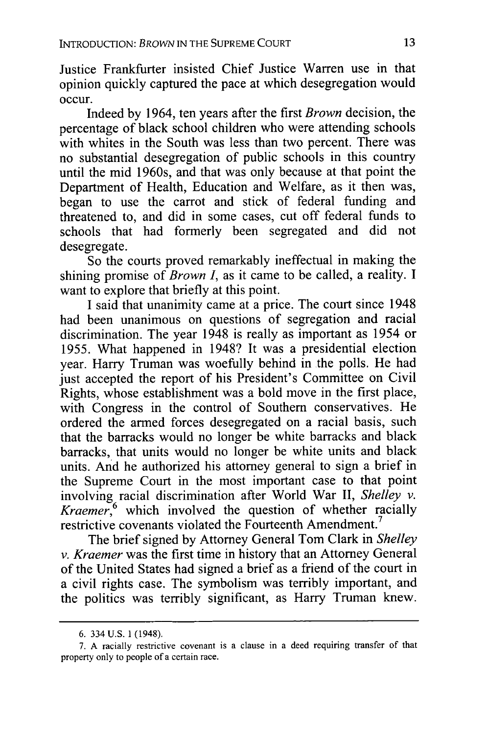Justice Frankfurter insisted Chief Justice Warren use in that opinion quickly captured the pace at which desegregation would occur.

Indeed by 1964, ten years after the first *Brown* decision, the percentage of black school children who were attending schools with whites in the South was less than two percent. There was no substantial desegregation of public schools in this country until the mid 1960s, and that was only because at that point the Department of Health, Education and Welfare, as it then was, began to use the carrot and stick of federal funding and threatened to, and did in some cases, cut off federal funds to schools that had formerly been segregated and did not desegregate.

So the courts proved remarkably ineffectual in making the shining promise of *Brown I,* as it came to be called, a reality. I want to explore that briefly at this point.

I said that unanimity came at a price. The court since 1948 had been unanimous on questions of segregation and racial discrimination. The year 1948 is really as important as 1954 or 1955. What happened in 1948? It was a presidential election year. Harry Truman was woefully behind in the polls. He had just accepted the report of his President's Committee on Civil Rights, whose establishment was a bold move in the first place, with Congress in the control of Southern conservatives. He ordered the armed forces desegregated on a racial basis, such that the barracks would no longer be white barracks and black barracks, that units would no longer be white units and black units. And he authorized his attorney general to sign a brief in the Supreme Court in the most important case to that point involving racial discrimination after World War II, *Shelley v. Kraemer*,<sup>6</sup> which involved the question of whether racially restrictive covenants violated the Fourteenth Amendment.<sup>7</sup>

The brief signed by Attorney General Tom Clark in *Shelley v. Kraemer* was the first time in history that an Attorney General of the United States had signed a brief as a friend of the court in a civil rights case. The symbolism was terribly important, and the politics was terribly significant, as Harry Truman knew.

<sup>6. 334</sup> U.S. 1 (1948).

<sup>7.</sup> A racially restrictive covenant is a clause in a deed requiring transfer of that property only to people of a certain race.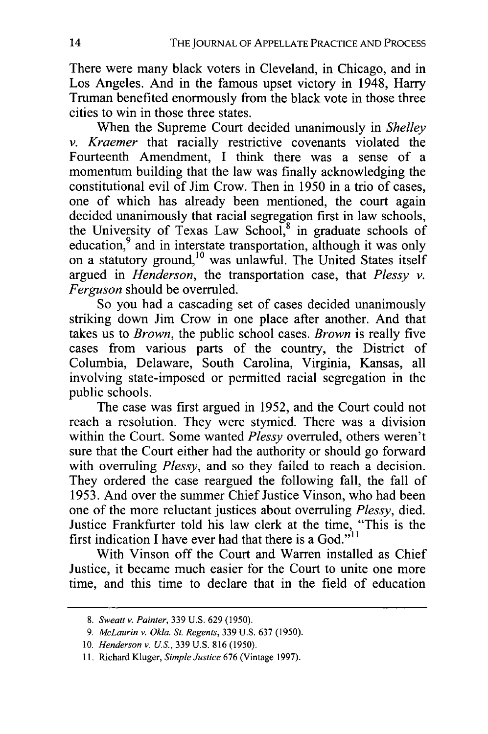There were many black voters in Cleveland, in Chicago, and in Los Angeles. And in the famous upset victory in 1948, Harry Truman benefited enormously from the black vote in those three cities to win in those three states.

When the Supreme Court decided unanimously in *Shelley v. Kraemer* that racially restrictive covenants violated the Fourteenth Amendment, I think there was a sense of a momentum building that the law was finally acknowledging the constitutional evil of Jim Crow. Then in 1950 in a trio of cases, one of which has already been mentioned, the court again decided unanimously that racial segregation first in law schools, the University of Texas Law School, $\delta$  in graduate schools of education,<sup>9</sup> and in interstate transportation, although it was only on a statutory ground,<sup>10</sup> was unlawful. The United States itself argued in *Henderson,* the transportation case, that *Plessy v. Ferguson* should be overruled.

So you had a cascading set of cases decided unanimously striking down Jim Crow in one place after another. And that takes us to *Brown,* the public school cases. *Brown* is really five cases from various parts of the country, the District of Columbia, Delaware, South Carolina, Virginia, Kansas, all involving state-imposed or permitted racial segregation in the public schools.

The case was first argued in 1952, and the Court could not reach a resolution. They were stymied. There was a division within the Court. Some wanted *Plessy* overruled, others weren't sure that the Court either had the authority or should go forward with overruling *Plessy,* and so they failed to reach a decision. They ordered the case reargued the following fall, the fall of 1953. And over the summer Chief Justice Vinson, who had been one of the more reluctant justices about overruling *Plessy,* died. Justice Frankfurter told his law clerk at the time, "This is the first indication I have ever had that there is a God." $11$ 

With Vinson off the Court and Warren installed as Chief Justice, it became much easier for the Court to unite one more time, and this time to declare that in the field of education

*<sup>8.</sup> Sweatt v. Painter,* 339 U.S. 629 (1950).

*<sup>9.</sup> McLaurin v. Okla. St. Regents,* 339 U.S. 637 (1950).

<sup>10.</sup> *Henderson v. U.S.,* 339 U.S. 816 (1950).

<sup>11.</sup> Richard Kluger, *Simple Justice* 676 (Vintage 1997).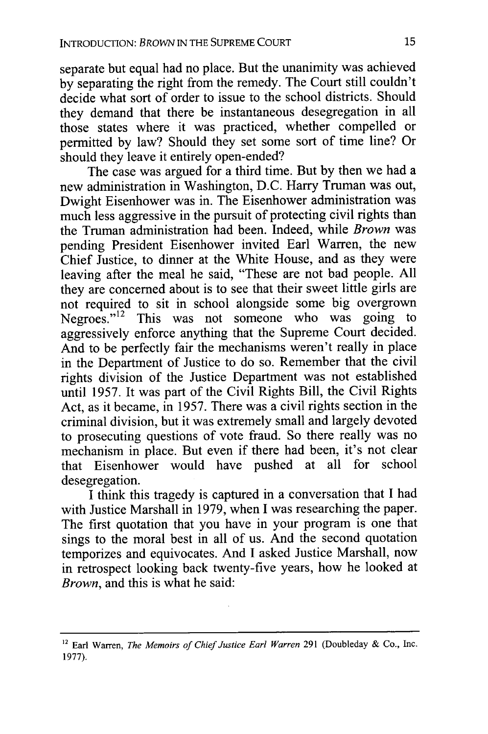separate but equal had no place. But the unanimity was achieved by separating the right from the remedy. The Court still couldn't decide what sort of order to issue to the school districts. Should they demand that there be instantaneous desegregation in all those states where it was practiced, whether compelled or permitted by law? Should they set some sort of time line? Or should they leave it entirely open-ended?

The case was argued for a third time. But by then we had a new administration in Washington, D.C. Harry Truman was out, Dwight Eisenhower was in. The Eisenhower administration was much less aggressive in the pursuit of protecting civil rights than the Truman administration had been. Indeed, while *Brown* was pending President Eisenhower invited Earl Warren, the new Chief Justice, to dinner at the White House, and as they were leaving after the meal he said, "These are not bad people. All they are concerned about is to see that their sweet little girls are not required to sit in school alongside some big overgrown Negroes." $12$  This was not someone who was going to aggressively enforce anything that the Supreme Court decided. And to be perfectly fair the mechanisms weren't really in place in the Department of Justice to do so. Remember that the civil rights division of the Justice Department was not established until 1957. It was part of the Civil Rights Bill, the Civil Rights Act, as it became, in 1957. There was a civil rights section in the criminal division, but it was extremely small and largely devoted to prosecuting questions of vote fraud. So there really was no mechanism in place. But even if there had been, it's not clear that Eisenhower would have pushed at all for school desegregation.

I think this tragedy is captured in a conversation that I had with Justice Marshall in 1979, when I was researching the paper. The first quotation that you have in your program is one that sings to the moral best in all of us. And the second quotation temporizes and equivocates. And I asked Justice Marshall, now in retrospect looking back twenty-five years, how he looked at *Brown,* and this is what he said:

<sup>&</sup>lt;sup>12</sup> Earl Warren, *The Memoirs of Chief Justice Earl Warren* 291 (Doubleday & Co., Inc. 1977).